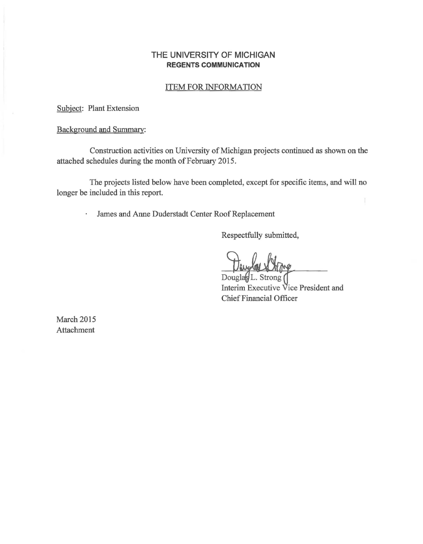## **THE UNIVERSITY OF MICHIGAN REGENTS COMMUNICATION**

### ITEM FOR INFORMATION

**Received by the Regents March 19, 2015**

Subject: Plant Extension

## Background and Summary:

Construction activities on University of Michigan projects continued as shown on the attached schedules during the month of February 2015.

The projects listed below have been completed, except for specific items, and will no longer be included in this report.

James and Anne Duderstadt Center Roof Replacement

Respectfully submitted,

Douglas L. Strong Interim Executive Vice President and Chief Financial Officer

March 2015 Attachment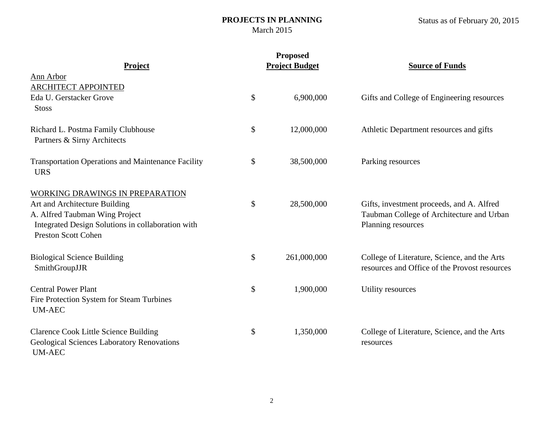## **PROJECTS IN PLANNING** March 2015

|                                                                                                                                                                                       | <b>Proposed</b>       |                                                                                                              |  |  |
|---------------------------------------------------------------------------------------------------------------------------------------------------------------------------------------|-----------------------|--------------------------------------------------------------------------------------------------------------|--|--|
| <b>Project</b>                                                                                                                                                                        | <b>Project Budget</b> | <b>Source of Funds</b>                                                                                       |  |  |
| Ann Arbor<br><b>ARCHITECT APPOINTED</b><br>Eda U. Gerstacker Grove                                                                                                                    | \$<br>6,900,000       | Gifts and College of Engineering resources                                                                   |  |  |
| <b>Stoss</b><br>Richard L. Postma Family Clubhouse<br>Partners & Sirny Architects                                                                                                     | \$<br>12,000,000      | Athletic Department resources and gifts                                                                      |  |  |
| <b>Transportation Operations and Maintenance Facility</b><br><b>URS</b>                                                                                                               | \$<br>38,500,000      | Parking resources                                                                                            |  |  |
| WORKING DRAWINGS IN PREPARATION<br>Art and Architecture Building<br>A. Alfred Taubman Wing Project<br>Integrated Design Solutions in collaboration with<br><b>Preston Scott Cohen</b> | \$<br>28,500,000      | Gifts, investment proceeds, and A. Alfred<br>Taubman College of Architecture and Urban<br>Planning resources |  |  |
| <b>Biological Science Building</b><br>SmithGroupJJR                                                                                                                                   | \$<br>261,000,000     | College of Literature, Science, and the Arts<br>resources and Office of the Provost resources                |  |  |
| <b>Central Power Plant</b><br>Fire Protection System for Steam Turbines<br><b>UM-AEC</b>                                                                                              | \$<br>1,900,000       | Utility resources                                                                                            |  |  |
| <b>Clarence Cook Little Science Building</b><br><b>Geological Sciences Laboratory Renovations</b><br><b>UM-AEC</b>                                                                    | \$<br>1,350,000       | College of Literature, Science, and the Arts<br>resources                                                    |  |  |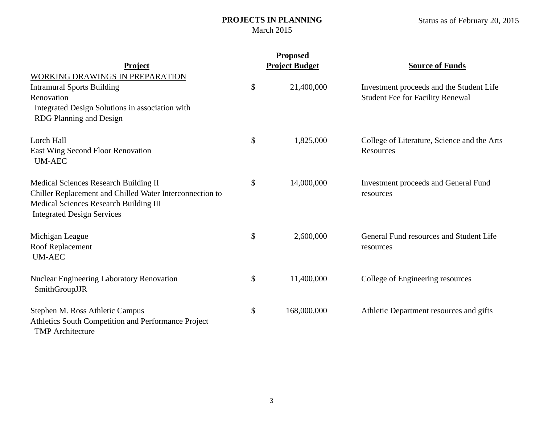## **PROJECTS IN PLANNING** March 2015

|                                                          |    | <b>Proposed</b>       |                                             |  |  |
|----------------------------------------------------------|----|-----------------------|---------------------------------------------|--|--|
| <b>Project</b>                                           |    | <b>Project Budget</b> | <b>Source of Funds</b>                      |  |  |
| WORKING DRAWINGS IN PREPARATION                          |    |                       |                                             |  |  |
| <b>Intramural Sports Building</b>                        | \$ | 21,400,000            | Investment proceeds and the Student Life    |  |  |
| Renovation                                               |    |                       | <b>Student Fee for Facility Renewal</b>     |  |  |
| Integrated Design Solutions in association with          |    |                       |                                             |  |  |
| <b>RDG Planning and Design</b>                           |    |                       |                                             |  |  |
| Lorch Hall                                               | \$ | 1,825,000             | College of Literature, Science and the Arts |  |  |
| East Wing Second Floor Renovation                        |    |                       | <b>Resources</b>                            |  |  |
| <b>UM-AEC</b>                                            |    |                       |                                             |  |  |
| Medical Sciences Research Building II                    | \$ | 14,000,000            | <b>Investment proceeds and General Fund</b> |  |  |
| Chiller Replacement and Chilled Water Interconnection to |    |                       | resources                                   |  |  |
| Medical Sciences Research Building III                   |    |                       |                                             |  |  |
| <b>Integrated Design Services</b>                        |    |                       |                                             |  |  |
| Michigan League                                          | \$ | 2,600,000             | General Fund resources and Student Life     |  |  |
| Roof Replacement                                         |    |                       | resources                                   |  |  |
| <b>UM-AEC</b>                                            |    |                       |                                             |  |  |
| <b>Nuclear Engineering Laboratory Renovation</b>         | \$ | 11,400,000            | College of Engineering resources            |  |  |
| SmithGroupJJR                                            |    |                       |                                             |  |  |
| Stephen M. Ross Athletic Campus                          | \$ | 168,000,000           | Athletic Department resources and gifts     |  |  |
| Athletics South Competition and Performance Project      |    |                       |                                             |  |  |
| <b>TMP</b> Architecture                                  |    |                       |                                             |  |  |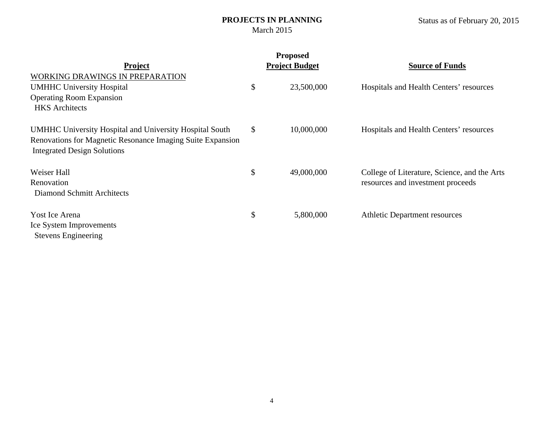## **PROJECTS IN PLANNING** March 2015

|                                                                                                                                                             |    | <b>Proposed</b>       |                                              |
|-------------------------------------------------------------------------------------------------------------------------------------------------------------|----|-----------------------|----------------------------------------------|
| <b>Project</b>                                                                                                                                              |    | <b>Project Budget</b> | <b>Source of Funds</b>                       |
| <b>WORKING DRAWINGS IN PREPARATION</b>                                                                                                                      |    |                       |                                              |
| <b>UMHHC University Hospital</b>                                                                                                                            | \$ | 23,500,000            | Hospitals and Health Centers' resources      |
| <b>Operating Room Expansion</b>                                                                                                                             |    |                       |                                              |
| <b>HKS</b> Architects                                                                                                                                       |    |                       |                                              |
| UMHHC University Hospital and University Hospital South<br>Renovations for Magnetic Resonance Imaging Suite Expansion<br><b>Integrated Design Solutions</b> | \$ | 10,000,000            | Hospitals and Health Centers' resources      |
| Weiser Hall                                                                                                                                                 | \$ | 49,000,000            | College of Literature, Science, and the Arts |
| Renovation                                                                                                                                                  |    |                       | resources and investment proceeds            |
| Diamond Schmitt Architects                                                                                                                                  |    |                       |                                              |
| Yost Ice Arena                                                                                                                                              | \$ | 5,800,000             | <b>Athletic Department resources</b>         |
| Ice System Improvements                                                                                                                                     |    |                       |                                              |
| <b>Stevens Engineering</b>                                                                                                                                  |    |                       |                                              |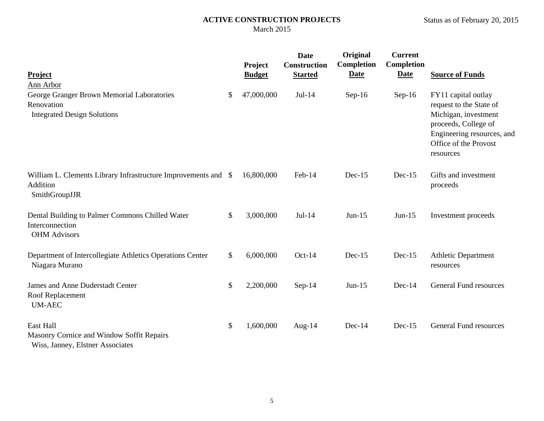| Project<br><b>Ann Arbor</b>                                                                    | Project<br><b>Budget</b> | <b>Date</b><br>Construction<br><b>Started</b> | Original<br>Completion<br><b>Date</b> | <b>Current</b><br>Completion<br><b>Date</b> | <b>Source of Funds</b>                                                                                                                                             |
|------------------------------------------------------------------------------------------------|--------------------------|-----------------------------------------------|---------------------------------------|---------------------------------------------|--------------------------------------------------------------------------------------------------------------------------------------------------------------------|
| George Granger Brown Memorial Laboratories<br>Renovation<br><b>Integrated Design Solutions</b> | \$<br>47,000,000         | $Jul-14$                                      | $Sep-16$                              | $Sep-16$                                    | FY11 capital outlay<br>request to the State of<br>Michigan, investment<br>proceeds, College of<br>Engineering resources, and<br>Office of the Provost<br>resources |
| William L. Clements Library Infrastructure Improvements and \$<br>Addition<br>SmithGroupJJR    | 16,800,000               | Feb-14                                        | $Dec-15$                              | $Dec-15$                                    | Gifts and investment<br>proceeds                                                                                                                                   |
| Dental Building to Palmer Commons Chilled Water<br>Interconnection<br><b>OHM</b> Advisors      | \$<br>3,000,000          | Jul-14                                        | $Jun-15$                              | $Jun-15$                                    | Investment proceeds                                                                                                                                                |
| Department of Intercollegiate Athletics Operations Center<br>Niagara Murano                    | \$<br>6,000,000          | $Oct-14$                                      | $Dec-15$                              | $Dec-15$                                    | <b>Athletic Department</b><br>resources                                                                                                                            |
| James and Anne Duderstadt Center<br>Roof Replacement<br><b>UM-AEC</b>                          | \$<br>2,200,000          | Sep-14                                        | $Jun-15$                              | $Dec-14$                                    | General Fund resources                                                                                                                                             |
| East Hall<br>Masonry Cornice and Window Soffit Repairs<br>Wiss, Janney, Elstner Associates     | \$<br>1,600,000          | Aug- $14$                                     | $Dec-14$                              | $Dec-15$                                    | <b>General Fund resources</b>                                                                                                                                      |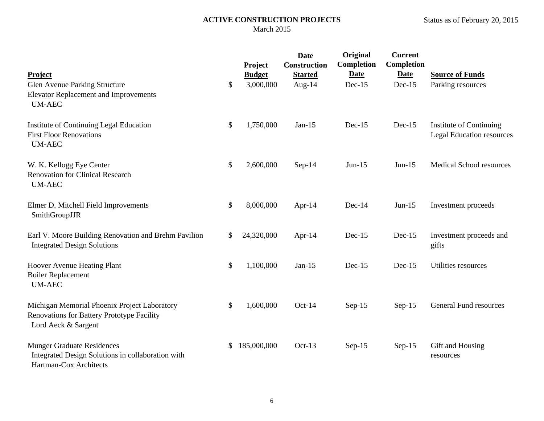# Status as of February 20, 2015

| Project<br>Glen Avenue Parking Structure<br><b>Elevator Replacement and Improvements</b><br><b>UM-AEC</b>         | \$<br>Project<br><b>Budget</b><br>3,000,000 | <b>Date</b><br><b>Construction</b><br><b>Started</b><br>Aug- $14$ | Original<br><b>Completion</b><br><b>Date</b><br>$Dec-15$ | <b>Current</b><br>Completion<br><b>Date</b><br>$Dec-15$ | <b>Source of Funds</b><br>Parking resources                 |
|-------------------------------------------------------------------------------------------------------------------|---------------------------------------------|-------------------------------------------------------------------|----------------------------------------------------------|---------------------------------------------------------|-------------------------------------------------------------|
| Institute of Continuing Legal Education<br><b>First Floor Renovations</b><br><b>UM-AEC</b>                        | \$<br>1,750,000                             | $Jan-15$                                                          | $Dec-15$                                                 | $Dec-15$                                                | Institute of Continuing<br><b>Legal Education resources</b> |
| W. K. Kellogg Eye Center<br><b>Renovation for Clinical Research</b><br><b>UM-AEC</b>                              | \$<br>2,600,000                             | $Sep-14$                                                          | $Jun-15$                                                 | $Jun-15$                                                | <b>Medical School resources</b>                             |
| Elmer D. Mitchell Field Improvements<br>SmithGroupJJR                                                             | \$<br>8,000,000                             | Apr-14                                                            | $Dec-14$                                                 | $Jun-15$                                                | Investment proceeds                                         |
| Earl V. Moore Building Renovation and Brehm Pavilion<br><b>Integrated Design Solutions</b>                        | \$<br>24,320,000                            | Apr-14                                                            | $Dec-15$                                                 | $Dec-15$                                                | Investment proceeds and<br>gifts                            |
| Hoover Avenue Heating Plant<br><b>Boiler Replacement</b><br><b>UM-AEC</b>                                         | \$<br>1,100,000                             | $Jan-15$                                                          | $Dec-15$                                                 | $Dec-15$                                                | Utilities resources                                         |
| Michigan Memorial Phoenix Project Laboratory<br>Renovations for Battery Prototype Facility<br>Lord Aeck & Sargent | \$<br>1,600,000                             | $Oct-14$                                                          | $Sep-15$                                                 | $Sep-15$                                                | <b>General Fund resources</b>                               |
| <b>Munger Graduate Residences</b><br>Integrated Design Solutions in collaboration with<br>Hartman-Cox Architects  | \$<br>185,000,000                           | $Oct-13$                                                          | $Sep-15$                                                 | $Sep-15$                                                | Gift and Housing<br>resources                               |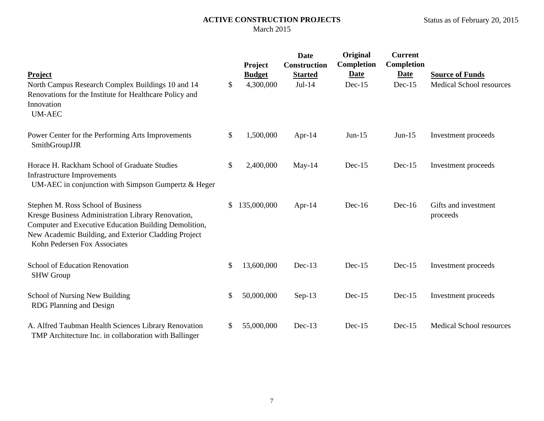| Project<br>North Campus Research Complex Buildings 10 and 14<br>Renovations for the Institute for Healthcare Policy and                                                                                                                   | \$<br>Project<br><b>Budget</b><br>4,300,000 | <b>Date</b><br><b>Construction</b><br><b>Started</b><br>$Jul-14$ | Original<br><b>Completion</b><br><b>Date</b><br>$Dec-15$ | <b>Current</b><br>Completion<br><b>Date</b><br>$Dec-15$ | <b>Source of Funds</b><br>Medical School resources |
|-------------------------------------------------------------------------------------------------------------------------------------------------------------------------------------------------------------------------------------------|---------------------------------------------|------------------------------------------------------------------|----------------------------------------------------------|---------------------------------------------------------|----------------------------------------------------|
| Innovation<br><b>UM-AEC</b>                                                                                                                                                                                                               |                                             |                                                                  |                                                          |                                                         |                                                    |
| Power Center for the Performing Arts Improvements<br>SmithGroupJJR                                                                                                                                                                        | \$<br>1,500,000                             | Apr-14                                                           | $Jun-15$                                                 | $Jun-15$                                                | Investment proceeds                                |
| Horace H. Rackham School of Graduate Studies<br><b>Infrastructure Improvements</b><br>UM-AEC in conjunction with Simpson Gumpertz & Heger                                                                                                 | \$<br>2,400,000                             | $May-14$                                                         | $Dec-15$                                                 | $Dec-15$                                                | Investment proceeds                                |
| Stephen M. Ross School of Business<br>Kresge Business Administration Library Renovation,<br>Computer and Executive Education Building Demolition,<br>New Academic Building, and Exterior Cladding Project<br>Kohn Pedersen Fox Associates | \$<br>135,000,000                           | Apr- $14$                                                        | $Dec-16$                                                 | $Dec-16$                                                | Gifts and investment<br>proceeds                   |
| School of Education Renovation<br><b>SHW Group</b>                                                                                                                                                                                        | \$<br>13,600,000                            | $Dec-13$                                                         | $Dec-15$                                                 | $Dec-15$                                                | Investment proceeds                                |
| <b>School of Nursing New Building</b><br>RDG Planning and Design                                                                                                                                                                          | \$<br>50,000,000                            | $Sep-13$                                                         | $Dec-15$                                                 | $Dec-15$                                                | Investment proceeds                                |
| A. Alfred Taubman Health Sciences Library Renovation<br>TMP Architecture Inc. in collaboration with Ballinger                                                                                                                             | \$<br>55,000,000                            | $Dec-13$                                                         | $Dec-15$                                                 | $Dec-15$                                                | <b>Medical School resources</b>                    |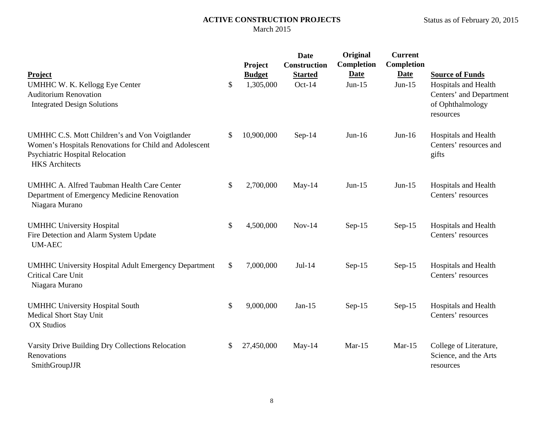|                                                                                                                                                                             | Project                          | <b>Date</b><br>Construction | Original<br><b>Completion</b> | <b>Current</b><br><b>Completion</b> |                                                                                                            |
|-----------------------------------------------------------------------------------------------------------------------------------------------------------------------------|----------------------------------|-----------------------------|-------------------------------|-------------------------------------|------------------------------------------------------------------------------------------------------------|
| Project<br>UMHHC W. K. Kellogg Eye Center<br><b>Auditorium Renovation</b><br><b>Integrated Design Solutions</b>                                                             | \$<br><b>Budget</b><br>1,305,000 | <b>Started</b><br>$Oct-14$  | <b>Date</b><br>$Jun-15$       | <b>Date</b><br>$Jun-15$             | <b>Source of Funds</b><br>Hospitals and Health<br>Centers' and Department<br>of Ophthalmology<br>resources |
| UMHHC C.S. Mott Children's and Von Voigtlander<br>Women's Hospitals Renovations for Child and Adolescent<br><b>Psychiatric Hospital Relocation</b><br><b>HKS</b> Architects | \$<br>10,900,000                 | $Sep-14$                    | $Jun-16$                      | $Jun-16$                            | Hospitals and Health<br>Centers' resources and<br>gifts                                                    |
| <b>UMHHC A. Alfred Taubman Health Care Center</b><br>Department of Emergency Medicine Renovation<br>Niagara Murano                                                          | \$<br>2,700,000                  | May-14                      | $Jun-15$                      | $Jun-15$                            | Hospitals and Health<br>Centers' resources                                                                 |
| <b>UMHHC University Hospital</b><br>Fire Detection and Alarm System Update<br><b>UM-AEC</b>                                                                                 | \$<br>4,500,000                  | $Nov-14$                    | $Sep-15$                      | $Sep-15$                            | Hospitals and Health<br>Centers' resources                                                                 |
| <b>UMHHC University Hospital Adult Emergency Department</b><br><b>Critical Care Unit</b><br>Niagara Murano                                                                  | \$<br>7,000,000                  | $Jul-14$                    | $Sep-15$                      | $Sep-15$                            | Hospitals and Health<br>Centers' resources                                                                 |
| <b>UMHHC University Hospital South</b><br><b>Medical Short Stay Unit</b><br><b>OX Studios</b>                                                                               | \$<br>9,000,000                  | $Jan-15$                    | $Sep-15$                      | $Sep-15$                            | Hospitals and Health<br>Centers' resources                                                                 |
| Varsity Drive Building Dry Collections Relocation<br>Renovations<br>SmithGroupJJR                                                                                           | \$<br>27,450,000                 | May-14                      | $Mar-15$                      | $Mar-15$                            | College of Literature,<br>Science, and the Arts<br>resources                                               |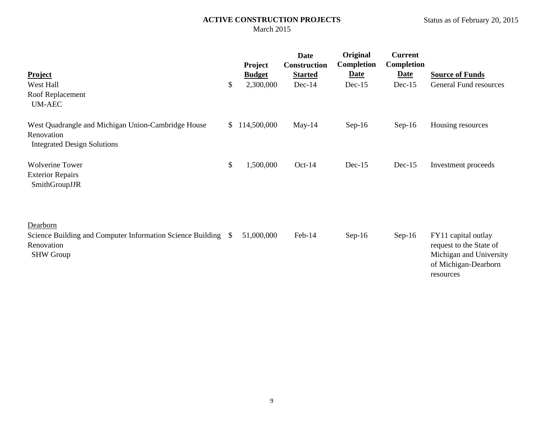| Project                                                                                                     |              | <b>Project</b><br><b>Budget</b> | <b>Date</b><br>Construction<br><b>Started</b> | Original<br>Completion<br><b>Date</b> | <b>Current</b><br>Completion<br><b>Date</b> | <b>Source of Funds</b>                                                                                         |
|-------------------------------------------------------------------------------------------------------------|--------------|---------------------------------|-----------------------------------------------|---------------------------------------|---------------------------------------------|----------------------------------------------------------------------------------------------------------------|
| West Hall                                                                                                   | \$           | 2,300,000                       | $Dec-14$                                      | $Dec-15$                              | $Dec-15$                                    | <b>General Fund resources</b>                                                                                  |
| Roof Replacement<br><b>UM-AEC</b>                                                                           |              |                                 |                                               |                                       |                                             |                                                                                                                |
| West Quadrangle and Michigan Union-Cambridge House<br>Renovation<br><b>Integrated Design Solutions</b>      | $\mathbb{S}$ | 114,500,000                     | May-14                                        | $Sep-16$                              | $Sep-16$                                    | Housing resources                                                                                              |
| <b>Wolverine Tower</b><br><b>Exterior Repairs</b><br>SmithGroupJJR                                          | \$           | 1,500,000                       | $Oct-14$                                      | $Dec-15$                              | $Dec-15$                                    | Investment proceeds                                                                                            |
| Dearborn<br>Science Building and Computer Information Science Building \$<br>Renovation<br><b>SHW Group</b> |              | 51,000,000                      | Feb-14                                        | $Sep-16$                              | $Sep-16$                                    | FY11 capital outlay<br>request to the State of<br>Michigan and University<br>of Michigan-Dearborn<br>resources |